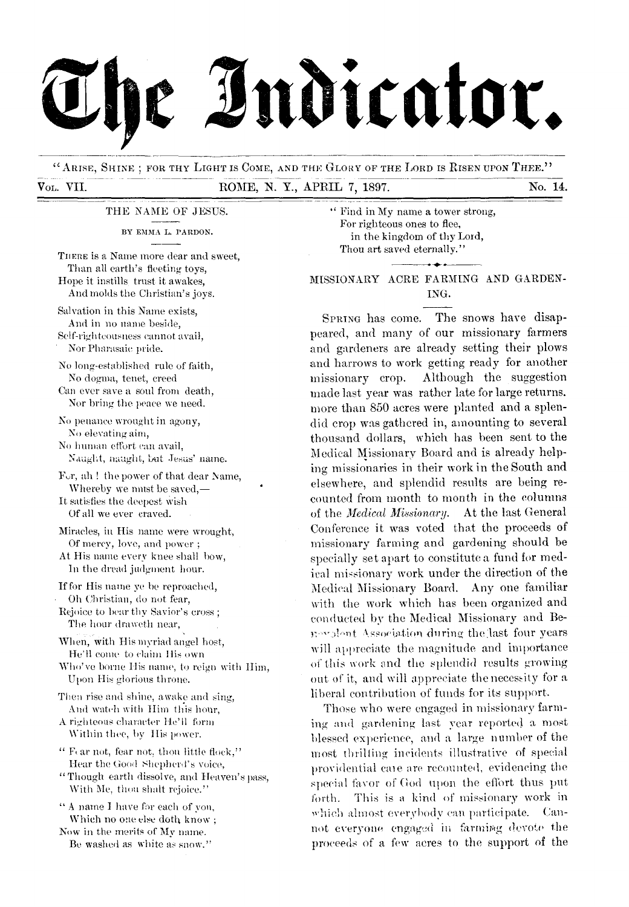

"ARISE, SHINE ; FOR THY LIGHT IS COME, AND THE GLORY OF THE LORD IS RISEN UPON THEE." VoL. VII. ROME, N. Y., APRIL 7, 1897. No. 14.

THE NAME OF JESUS.

BY EMMA L. PARDON.

THERE is a Name more dear and sweet, Than all earth's fleeting toys, Hope it instills trust it awakes, And molds the Christian's joys.

Salvation in this Name exists, And in no name beside, Self-righteousness cannot avail,

Nor Pharasaic pride.

No long-established rule of faith, No dogma, tenet, creed Can ever save a soul from death,

Nor bring the peace we need.

No penance wrought in agony, No elevating aim,

No human effort can avail, Naught, naught, but Jesus' name.

Fur, ah ! the power of that dear Name, Whereby we must be saved,— It satisfies the deepest wish

Of all we ever craved.

Miracles, in His name were wrought, Of mercy, love, and power ;

At His name every knee shall bow, In the dread judgment hour.

If for His name ye be reproached, • Oh Christian, do not fear,

Rejoice to bear thy Savior's cross ; The hour draweth near,

When, with His myriad angel host, He'll come to claim His own

Who've borne His name, to reign with IIim, Upon His glorious throne.

Then rise and shine, awake and sing, And watch with Him this hour,

A righteous character He'll form Within thee, by His power.

" Fear not, fear not, thou little flock," Hear the Good Shepherd's voice,

" Though earth dissolve, and Heaven's pass, With Me, thou shalt rejoice."

" A name I have for each of von, Which no one else doth know;

NOW in the merits of My name. Be washed as white as snow." " Find in My name a tower strong, For righteous ones to flee, in the kingdom of thy Loxd, Thou art saved eternally."

MISSIONARY ACRE FARMING AND GARDEN-ING.

SPRING has come. The snows have disappeared, and many of our missionary farmers and gardeners are already setting their plows and harrows to work getting ready for another missionary crop. Although the suggestion made last year was rather late for large returns. more than 850 acres were planted and a splendid crop was gathered in, amounting to several thousand dollars, which has been sent to the Medical Missionary Board and is already helping missionaries in their work in the South and elsewhere, and splendid results are being recounted from month to month in the columns of the *Medical Missionary.* At the last General Conference it was voted that the proceeds of missionary farming and gardening should be specially set apart to constitute a fund for medical missionary work under the direction of the Medical Missionary Board. Any one familiar with the work which has been organized and conducted by the Medical Missionary and Benovalont Association during the last four years will appreciate the magnitude and importance of this work and the splendid results growing out of it, and will appreciate the necessity for a liberal contribution of funds for its support.

Those who were engaged in missionary farming and gardening last year reported a most blessed experience, and a large number of the most thrilling incidents illustrative of special providential care are recounted, evidencing the special favor of God upon the effort thus put forth. This is a kind of missionary work in which almost everybody can participate. Cannot everyone engaged in farming devote the proceeds of a few acres to the support of the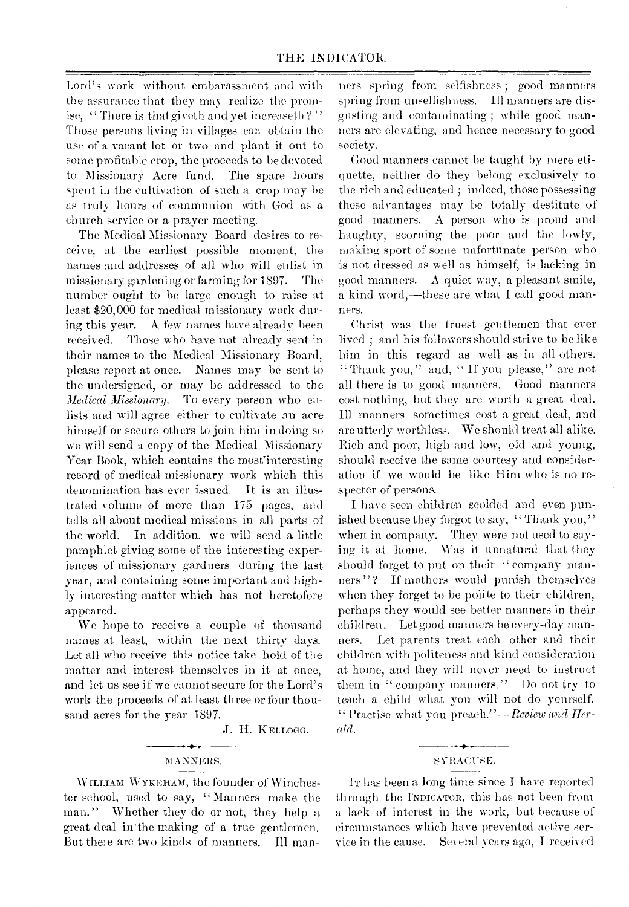Lord's work without embarassment and with the assurance that they may realize the promise, "There is that give th and yet increase th?" Those persons living in villages can obtain the use of a vacant lot or two and plant it out to some profitable crop, the proceeds to be devoted to Missionary Acre fund. The spare hours spent in the cultivation of such a crop may be as truly hours of communion with God as a church service or a prayer meeting.

The Medical Missionary Board desires to receive, at the earliest possible moment, the names and addresses of all who will enlist in missionary gardening or farming for 1897. The number ought to be large enough to raise at least \$20,000 for medical missionary work during this year. A few names have already been received. Those who have not already sent in their names to the Medical Missionary Board, please report at once. Names may be sent to the undersigned, or may be addressed to the *Medical Missionary.* To every person who enlists and will agree either to cultivate an acre himself or secure others to join him in doing so we will send a copy of the Medical Missionary Year Book, which contains the most interesting record of medical missionary work which this denomination has ever issued. It is an illustrated volume of more than 175 pages, and tells all about medical missions in all parts of the world. In addition, we will send a little pamphlet giving some of the interesting experiences of missionary gardners during the last year, and containing some important and highly interesting matter which has not heretofore appeared.

We hope to receive a couple of thousand names at least, within the next thirty days. Let all who receive this notice take hold of the matter and interest themselves in it at once, and let us see if we cannot secure for the Lord's work the proceeds of at least three or four thousand acres for the year 1897.

J. H. KELLOGG.

## $\overline{\phantom{a}}$

WILLIAM WYKEHAM, the founder of Winchester school, used to say, " Manners make the man." Whether they do or not, they help a great deal in'the making of a true gentlemen. But there are two kinds of manners. Ill manners spring from selfishness ; good manners spring from unselfishness. Ill manners are disgusting and contaminating ; while good manners are elevating, and hence necessary to good society.

Good manners cannot be taught by mere etiquette, neither do they belong exclusively to the rich and educated ; indeed, those possessing these advantages may be totally destitute of good manners. A person who is proud and haughty, scorning the poor and the lowly, making sport of some unfortunate person who is not dressed as well as himself, is lacking in good manners. A quiet way, a pleasant smile, a kind word,—these are what I call good manners.

Christ was the truest gentlemen that ever lived ; and his followers should strive to be like him in this regard as well as in all others. " Thank you," and, "If you please," are not all there is to good manners. Good manners cost nothing, but they are worth a great deal. Ill manners sometimes cost a great deal, and are utterly worthless. We should treat all alike. Rich and poor, high and low, old and young, should receive the same courtesy and consideration if we would be like Him who is no respecter of persons.

I have seen children scolded and even punished because they forgot to say, "Thank you," when in company. They were not used to saying it at home. Was it unnatural that they should forget to put on their " company manners"? If mothers would punish themselves when they forget to be polite to their children, perhaps they would see better manners in their children. Let good manners be every-day manners. Let parents treat each other and their children with politeness and kind consideration at home, and they will never need to instruct them in "company manners." Do not try to teach a child what you will not do yourself. " Practise what you preach."—Reoiew *and Hee- «1(1.* 

#### سنتملخ مادسا MANNERS. SYRACUSE.

IT has been a long time since I have reported through the INDICATOR, this has not been from a lack of interest in the work, but because of circumstances which have prevented active service in the cause. Several years ago, I received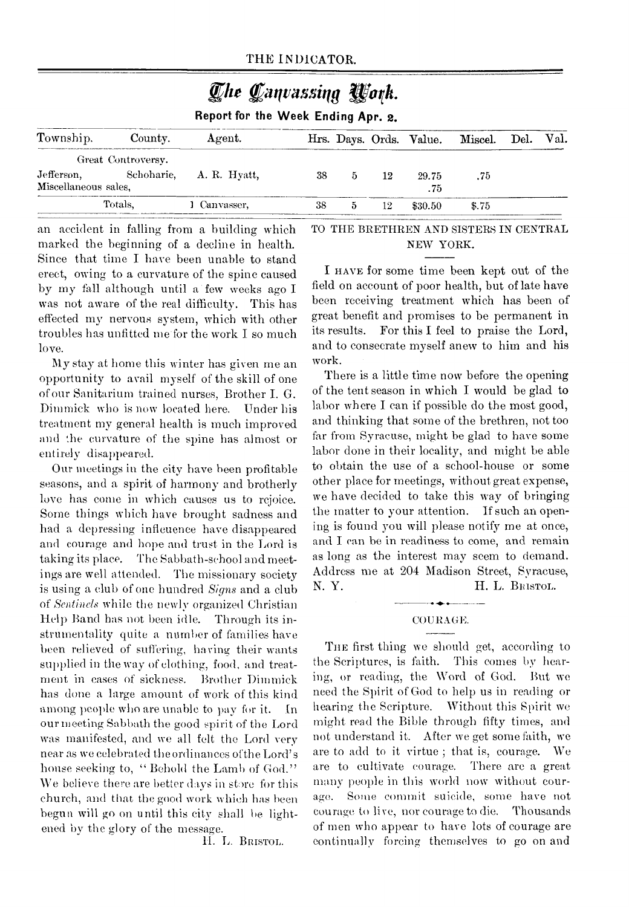| The Canvassing Work.<br>Report for the Week Ending Apr. 2. |                                  |              |    |   |    |                         |         |      |      |  |
|------------------------------------------------------------|----------------------------------|--------------|----|---|----|-------------------------|---------|------|------|--|
| Township.                                                  | County.                          | Agent.       |    |   |    | Hrs. Days. Ords. Value. | Miscel. | Del. | Val. |  |
| Jefferson,<br>Miscellaneous sales,                         | Great Controversy.<br>Schoharie, | A. R. Hyatt, | 38 | 5 | 12 | 29.75<br>.75            | .75     |      |      |  |
|                                                            | Totals.                          | 1 Canvasser, | 38 | 5 | 12 | \$30.50                 | \$.75   |      |      |  |

an accident in falling from a building which marked the beginning of a decline in health. Since that time I have been unable to stand erect, owing to a curvature of the spine caused by my fall although until a few weeks ago I was not aware of the real difficulty. This has effected my nervous system, which with other troubles has unfitted me-for the work I so much love.

My stay at home this winter has given me an opportunity to avail myself of the skill of one of our Sanitarium trained nurses, Brother I. G. Dimmick who is now located here. Under his treatment my general health is much improved and the curvature of the spine has almost or entirely disappeared.

Our meetings in the city have been profitable seasons, and a spirit of harmony and brotherly love has come in which causes us to rejoice. Some things which have brought sadness and had a depressing infleuence have disappeared and courage and hope and trust in the Lord is taking its place. The Sabbath-school and meetings are well attended. The missionary society is using a club of one hundred *Signs* and a club of *Sentinels* while the newly organized Christian Help Band has not been idle. Through its instrumentality quite a number of families have been relieved of suffering, having their wants supplied in the way of clothing, food, and treatment in cases of sickness. Brother Dimmick has done a large amount of work of this kind among people who are unable to pay for it. In our meeting Sabbath the good spirit of the Lord was manifested, and we all felt the Lord very near as we celebrated the ordinances ofthe Lord's house seeking to, "Behold the Lamb of God." We believe there are better days in store for this church, and that the good work which has been begun will go on until this city shall be lightened by the glory of the message.

H. L. BRISTOL.

TO THE BRETHREN AND SISTERS IN CENTRAL NEW YORK.

I HAVE for some time been kept out of the field on account of poor health, but of late have been receiving treatment which has been of great benefit and promises to be permanent in its results. For this I feel to praise the Lord, and to consecrate myself anew to him and his work.

There is a little time now before the opening of the tent season in which I would be glad to labor where I can if possible do the most good, and thinking that some of the brethren, not too far from Syracuse, might be glad to have some labor done in their locality, and might be able to obtain the use of a school-house or some other place for meetings, without great expense, we have decided to take this way of bringing the matter to your attention. If such an opening is found you will please notify me at once, and I can be in readiness to come, and remain as long as the interest may seem to demand. Address me at 204 Madison Street, Syracuse, N. Y. H. L. BRISTOL.

#### COURAGE.

THE first thing we should get, according to the Scriptures, is faith. This comes by hearing, or reading, the Word of God. But we need the Spirit of God to help us in reading or hearing the Scripture. Without this Spirit we might read the Bible through fifty times, and not understand it. After we get some faith, we are to add to it virtue ; that is, courage. We are to cultivate courage. There arc a great many people in this world now without courage. Some commit suicide, some have not courage to live, nor courage to die. Thousands of men who appear to have lots of courage are continually forcing themselves to go on and